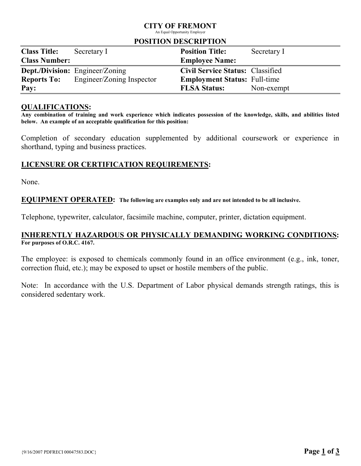# CITY OF FREMONT

An Equal Opportunity Employer

### POSITION DESCRIPTION

| 1001110111000111111011 |                                        |                                         |             |  |
|------------------------|----------------------------------------|-----------------------------------------|-------------|--|
| <b>Class Title:</b>    | Secretary I                            | <b>Position Title:</b>                  | Secretary I |  |
| <b>Class Number:</b>   |                                        | <b>Employee Name:</b>                   |             |  |
|                        | <b>Dept./Division:</b> Engineer/Zoning | <b>Civil Service Status: Classified</b> |             |  |
| <b>Reports To:</b>     | Engineer/Zoning Inspector              | <b>Employment Status: Full-time</b>     |             |  |
| Pay:                   |                                        | <b>FLSA Status:</b>                     | Non-exempt  |  |

### QUALIFICATIONS:

Any combination of training and work experience which indicates possession of the knowledge, skills, and abilities listed below. An example of an acceptable qualification for this position:

Completion of secondary education supplemented by additional coursework or experience in shorthand, typing and business practices.

# LICENSURE OR CERTIFICATION REQUIREMENTS:

None.

### EQUIPMENT OPERATED: The following are examples only and are not intended to be all inclusive.

Telephone, typewriter, calculator, facsimile machine, computer, printer, dictation equipment.

# INHERENTLY HAZARDOUS OR PHYSICALLY DEMANDING WORKING CONDITIONS: For purposes of O.R.C. 4167.

The employee: is exposed to chemicals commonly found in an office environment (e.g., ink, toner, correction fluid, etc.); may be exposed to upset or hostile members of the public.

Note: In accordance with the U.S. Department of Labor physical demands strength ratings, this is considered sedentary work.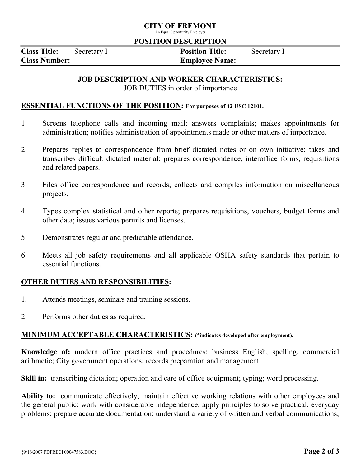# CITY OF FREMONT

An Equal Opportunity Employer

### POSITION DESCRIPTION

Class Title: Secretary I Position Title: Secretary I Class Number: Employee Name:

# JOB DESCRIPTION AND WORKER CHARACTERISTICS:

JOB DUTIES in order of importance

## ESSENTIAL FUNCTIONS OF THE POSITION: For purposes of 42 USC 12101.

- 1. Screens telephone calls and incoming mail; answers complaints; makes appointments for administration; notifies administration of appointments made or other matters of importance.
- 2. Prepares replies to correspondence from brief dictated notes or on own initiative; takes and transcribes difficult dictated material; prepares correspondence, interoffice forms, requisitions and related papers.
- 3. Files office correspondence and records; collects and compiles information on miscellaneous projects.
- 4. Types complex statistical and other reports; prepares requisitions, vouchers, budget forms and other data; issues various permits and licenses.
- 5. Demonstrates regular and predictable attendance.
- 6. Meets all job safety requirements and all applicable OSHA safety standards that pertain to essential functions.

# OTHER DUTIES AND RESPONSIBILITIES:

- 1. Attends meetings, seminars and training sessions.
- 2. Performs other duties as required.

# MINIMUM ACCEPTABLE CHARACTERISTICS: (\*indicates developed after employment).

Knowledge of: modern office practices and procedures; business English, spelling, commercial arithmetic; City government operations; records preparation and management.

Skill in: transcribing dictation; operation and care of office equipment; typing; word processing.

Ability to: communicate effectively; maintain effective working relations with other employees and the general public; work with considerable independence; apply principles to solve practical, everyday problems; prepare accurate documentation; understand a variety of written and verbal communications;